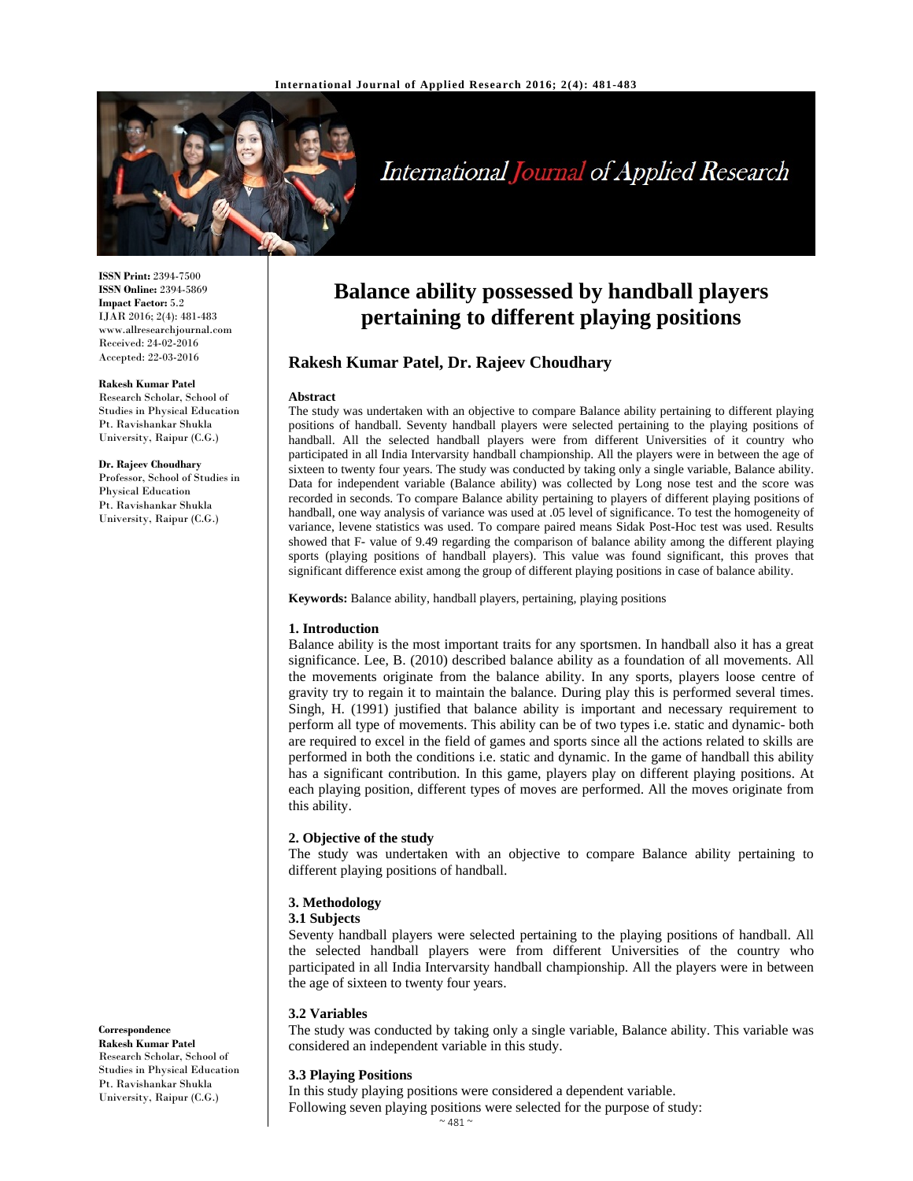

# International Journal of Applied Research

**ISSN Print:** 2394-7500 **ISSN Online:** 2394-5869 **Impact Factor:** 5.2 IJAR 2016; 2(4): 481-483 www.allresearchjournal.com Received: 24-02-2016 Accepted: 22-03-2016

#### **Rakesh Kumar Patel**

Research Scholar, School of Studies in Physical Education Pt. Ravishankar Shukla University, Raipur (C.G.)

## **Dr. Rajeev Choudhary**

Professor, School of Studies in Physical Education Pt. Ravishankar Shukla University, Raipur (C.G.)

## **Balance ability possessed by handball players pertaining to different playing positions**

## **Rakesh Kumar Patel, Dr. Rajeev Choudhary**

#### **Abstract**

The study was undertaken with an objective to compare Balance ability pertaining to different playing positions of handball. Seventy handball players were selected pertaining to the playing positions of handball. All the selected handball players were from different Universities of it country who participated in all India Intervarsity handball championship. All the players were in between the age of sixteen to twenty four years. The study was conducted by taking only a single variable, Balance ability. Data for independent variable (Balance ability) was collected by Long nose test and the score was recorded in seconds. To compare Balance ability pertaining to players of different playing positions of handball, one way analysis of variance was used at .05 level of significance. To test the homogeneity of variance, levene statistics was used. To compare paired means Sidak Post-Hoc test was used. Results showed that F- value of 9.49 regarding the comparison of balance ability among the different playing sports (playing positions of handball players). This value was found significant, this proves that significant difference exist among the group of different playing positions in case of balance ability.

**Keywords:** Balance ability, handball players, pertaining, playing positions

#### **1. Introduction**

Balance ability is the most important traits for any sportsmen. In handball also it has a great significance. Lee, B. (2010) described balance ability as a foundation of all movements. All the movements originate from the balance ability. In any sports, players loose centre of gravity try to regain it to maintain the balance. During play this is performed several times. Singh, H. (1991) justified that balance ability is important and necessary requirement to perform all type of movements. This ability can be of two types i.e. static and dynamic- both are required to excel in the field of games and sports since all the actions related to skills are performed in both the conditions i.e. static and dynamic. In the game of handball this ability has a significant contribution. In this game, players play on different playing positions. At each playing position, different types of moves are performed. All the moves originate from this ability.

#### **2. Objective of the study**

The study was undertaken with an objective to compare Balance ability pertaining to different playing positions of handball.

### **3. Methodology**

## **3.1 Subjects**

Seventy handball players were selected pertaining to the playing positions of handball. All the selected handball players were from different Universities of the country who participated in all India Intervarsity handball championship. All the players were in between the age of sixteen to twenty four years.

#### **3.2 Variables**

The study was conducted by taking only a single variable, Balance ability. This variable was considered an independent variable in this study.

## **3.3 Playing Positions**

In this study playing positions were considered a dependent variable. Following seven playing positions were selected for the purpose of study:

## $~^{\sim}$  481  $~^{\sim}$

## **Correspondence**

**Rakesh Kumar Patel**  Research Scholar, School of Studies in Physical Education Pt. Ravishankar Shukla University, Raipur (C.G.)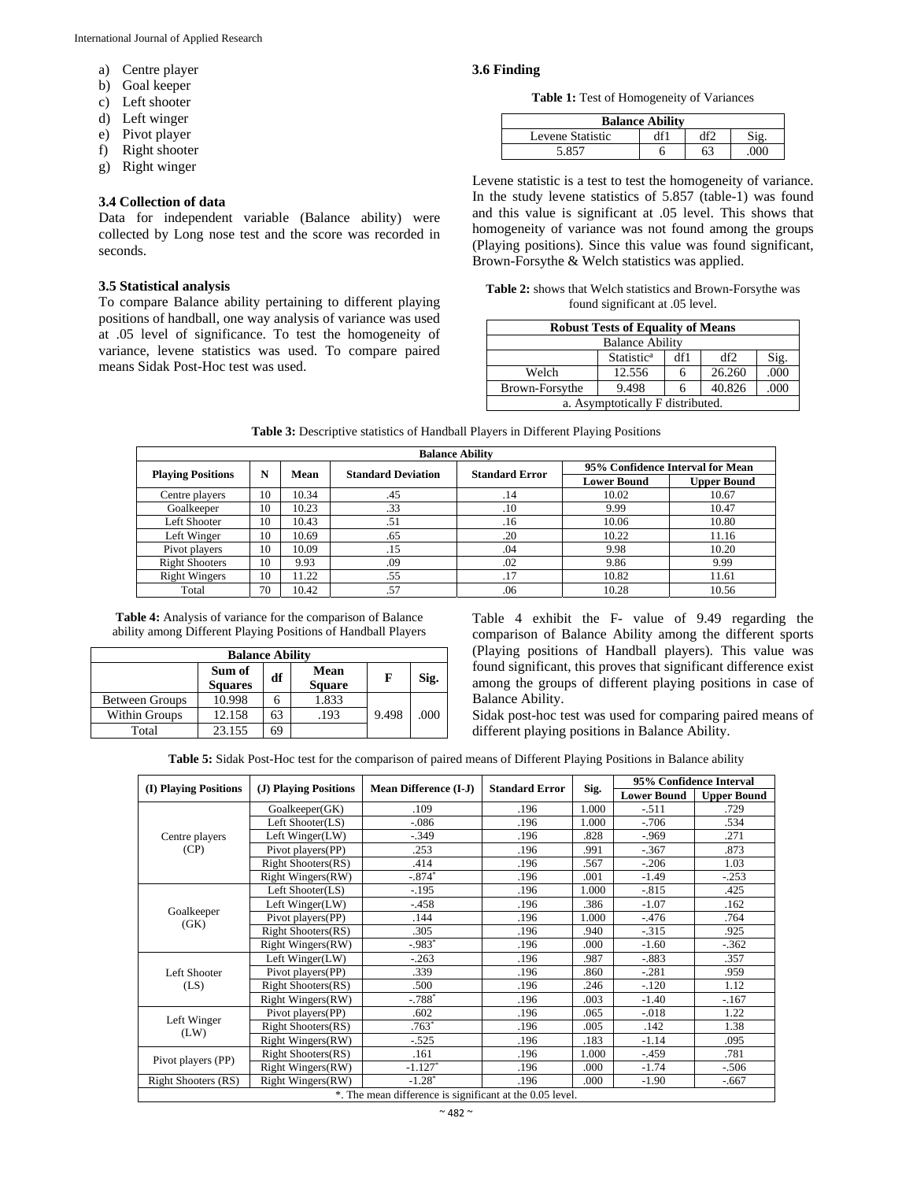- a) Centre player
- b) Goal keeper
- c) Left shooter
- d) Left winger
- e) Pivot player
- f) Right shooter
- g) Right winger

## **3.4 Collection of data**

Data for independent variable (Balance ability) were collected by Long nose test and the score was recorded in seconds.

### **3.5 Statistical analysis**

To compare Balance ability pertaining to different playing positions of handball, one way analysis of variance was used at .05 level of significance. To test the homogeneity of variance, levene statistics was used. To compare paired means Sidak Post-Hoc test was used.

## **3.6 Finding**

**Table 1:** Test of Homogeneity of Variances

| <b>Balance Ability</b> |  |  |  |  |  |  |  |
|------------------------|--|--|--|--|--|--|--|
| Levene Statistic       |  |  |  |  |  |  |  |
|                        |  |  |  |  |  |  |  |

Levene statistic is a test to test the homogeneity of variance. In the study levene statistics of 5.857 (table-1) was found and this value is significant at .05 level. This shows that homogeneity of variance was not found among the groups (Playing positions). Since this value was found significant, Brown-Forsythe & Welch statistics was applied.

|  |                                 | Table 2: shows that Welch statistics and Brown-Forsythe was |
|--|---------------------------------|-------------------------------------------------------------|
|  | found significant at .05 level. |                                                             |

| <b>Robust Tests of Equality of Means</b>     |        |   |        |      |  |  |
|----------------------------------------------|--------|---|--------|------|--|--|
| <b>Balance Ability</b>                       |        |   |        |      |  |  |
| Statistic <sup>a</sup><br>df2<br>df1<br>Sig. |        |   |        |      |  |  |
| Welch                                        | 12.556 | n | 26.260 | .000 |  |  |
| 40.826<br>.000<br>9.498<br>Brown-Forsythe    |        |   |        |      |  |  |
| a. Asymptotically F distributed.             |        |   |        |      |  |  |

| <b>Balance Ability</b>   |    |       |                           |                       |                                  |                    |  |
|--------------------------|----|-------|---------------------------|-----------------------|----------------------------------|--------------------|--|
|                          | N  | Mean  | <b>Standard Deviation</b> | <b>Standard Error</b> | 95% Confidence Interval for Mean |                    |  |
| <b>Playing Positions</b> |    |       |                           |                       | <b>Lower Bound</b>               | <b>Upper Bound</b> |  |
| Centre players           | 10 | 10.34 | .45                       | .14                   | 10.02                            | 10.67              |  |
| Goalkeeper               | 10 | 10.23 | .33                       | .10                   | 9.99                             | 10.47              |  |
| Left Shooter             | 10 | 10.43 | .51                       | .16                   | 10.06                            | 10.80              |  |
| Left Winger              | 10 | 10.69 | .65                       | .20                   | 10.22                            | 11.16              |  |
| Pivot players            | 10 | 10.09 | .15                       | .04                   | 9.98                             | 10.20              |  |
| <b>Right Shooters</b>    | 10 | 9.93  | .09                       | .02                   | 9.86                             | 9.99               |  |
| <b>Right Wingers</b>     | 10 | 11.22 | .55                       | .17                   | 10.82                            | 11.61              |  |
| Total                    | 70 | 10.42 | .57                       | .06                   | 10.28                            | 10.56              |  |

**Table 3:** Descriptive statistics of Handball Players in Different Playing Positions

**Table 4:** Analysis of variance for the comparison of Balance ability among Different Playing Positions of Handball Players

| <b>Balance Ability</b> |                          |    |                       |       |      |  |
|------------------------|--------------------------|----|-----------------------|-------|------|--|
|                        | Sum of<br><b>Squares</b> | df | Mean<br><b>Square</b> | F     | Sig. |  |
| <b>Between Groups</b>  | 10.998                   |    | 1.833                 |       |      |  |
| <b>Within Groups</b>   | 12.158                   | 63 | .193                  | 9.498 | .000 |  |
| Total                  | 23.155                   | 69 |                       |       |      |  |

Table 4 exhibit the F- value of 9.49 regarding the comparison of Balance Ability among the different sports (Playing positions of Handball players). This value was found significant, this proves that significant difference exist among the groups of different playing positions in case of Balance Ability.

Sidak post-hoc test was used for comparing paired means of different playing positions in Balance Ability.

**Table 5:** Sidak Post-Hoc test for the comparison of paired means of Different Playing Positions in Balance ability

|                                                          | (J) Playing Positions<br><b>Mean Difference (I-J)</b><br>(I) Playing Positions<br><b>Standard Error</b> |           |      |       | 95% Confidence Interval |                    |
|----------------------------------------------------------|---------------------------------------------------------------------------------------------------------|-----------|------|-------|-------------------------|--------------------|
|                                                          |                                                                                                         |           |      | Sig.  | <b>Lower Bound</b>      | <b>Upper Bound</b> |
| Centre players                                           | Goalkeeper(GK)                                                                                          | .109      | .196 | 1.000 | $-.511$                 | .729               |
|                                                          | Left Shooter(LS)                                                                                        | $-.086$   | .196 | 1.000 | $-.706$                 | .534               |
|                                                          | Left Winger(LW)                                                                                         | $-.349$   | .196 | .828  | $-0.969$                | .271               |
| (CP)                                                     | Pivot players(PP)                                                                                       | .253      | .196 | .991  | $-.367$                 | .873               |
|                                                          | <b>Right Shooters(RS)</b>                                                                               | .414      | .196 | .567  | $-.206$                 | 1.03               |
|                                                          | <b>Right Wingers(RW)</b>                                                                                | $-.874*$  | .196 | .001  | $-1.49$                 | $-.253$            |
|                                                          | Left Shooter(LS)                                                                                        | $-.195$   | .196 | 1.000 | $-.815$                 | .425               |
|                                                          | Left Winger(LW)                                                                                         | $-458$    | .196 | .386  | $-1.07$                 | .162               |
| Goalkeeper                                               | Pivot players (PP)                                                                                      | .144      | .196 | 1.000 | $-.476$                 | .764               |
| (GK)                                                     | <b>Right Shooters(RS)</b>                                                                               | .305      | .196 | .940  | $-.315$                 | .925               |
|                                                          | Right Wingers(RW)                                                                                       | $-.983*$  | .196 | .000  | $-1.60$                 | $-.362$            |
| Left Shooter<br>(LS)                                     | Left Winger(LW)                                                                                         | $-.263$   | .196 | .987  | $-.883$                 | .357               |
|                                                          | Pivot players(PP)                                                                                       | .339      | .196 | .860  | $-.281$                 | .959               |
|                                                          | <b>Right Shooters(RS)</b>                                                                               | .500      | .196 | .246  | $-.120$                 | 1.12               |
|                                                          | Right Wingers(RW)                                                                                       | $-.788*$  | .196 | .003  | $-1.40$                 | $-.167$            |
|                                                          | Pivot players(PP)                                                                                       | .602      | .196 | .065  | $-.018$                 | 1.22               |
| Left Winger<br>(LW)                                      | <b>Right Shooters(RS)</b>                                                                               | $.763*$   | .196 | .005  | .142                    | 1.38               |
|                                                          | <b>Right Wingers(RW)</b>                                                                                | $-.525$   | .196 | .183  | $-1.14$                 | .095               |
| Pivot players (PP)                                       | <b>Right Shooters(RS)</b>                                                                               | .161      | .196 | 1.000 | $-.459$                 | .781               |
|                                                          | Right Wingers(RW)                                                                                       | $-1.127*$ | .196 | .000  | $-1.74$                 | $-.506$            |
| Right Shooters (RS)                                      | Right Wingers(RW)                                                                                       | $-1.28*$  | .196 | .000  | $-1.90$                 | $-.667$            |
| *. The mean difference is significant at the 0.05 level. |                                                                                                         |           |      |       |                         |                    |